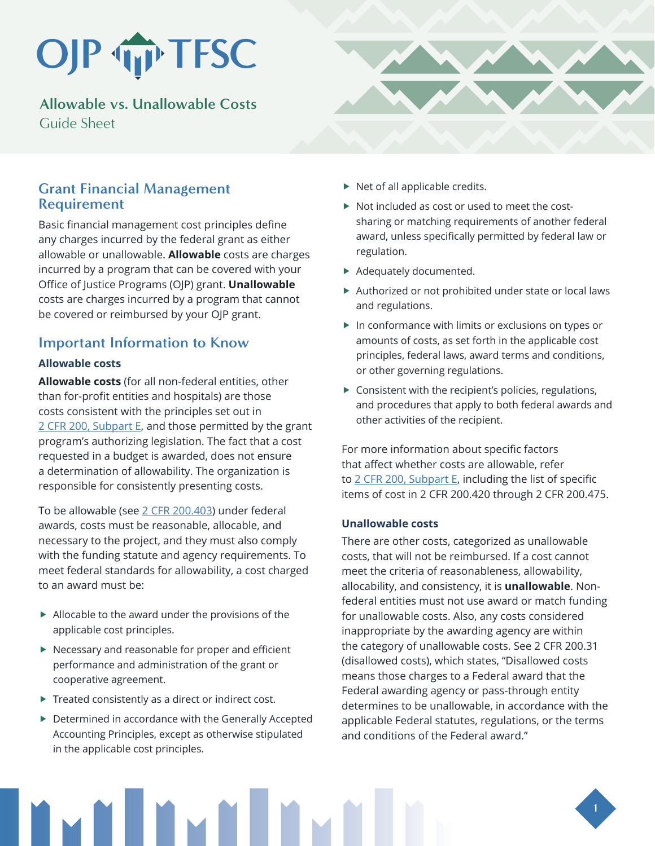# OJP TP TFSC

**Allowable vs. Unallowable Costs**  Guide Sheet

## **Grant Financial Management Requirement**

Basic financial management cost principles define any charges incurred by the federal grant as either allowable or unallowable. **Allowable** costs are charges incurred by a program that can be covered with your Office of Justice Programs (OJP) grant. **Unallowable** costs are charges incurred by a program that cannot be covered or reimbursed by your OJP grant.

# **Important Information to Know**

#### **Allowable costs**

**Allowable costs** (for all non-federal entities, other than for-profit entities and hospitals) are those costs consistent with the principles set out in [2 CFR 200, Subpart E,](https://www.ecfr.gov/cgi-bin/text-idx?node=2:1.1.2.2.1.5&rgn=div6) and those permitted by the grant program's authorizing legislation. The fact that a cost requested in a budget is awarded, does not ensure a determination of allowability. The organization is responsible for consistently presenting costs.

To be allowable (see [2 CFR 200.403](https://www.ecfr.gov/cgi-bin/text-idx?SID=1cd95cd3e147f094a23c9e6872cce494&mc=true&node=se2.1.200_1403&rgn=div8)) under federal awards, costs must be reasonable, allocable, and necessary to the project, and they must also comply with the funding statute and agency requirements. To meet federal standards for allowability, a cost charged to an award must be:

- $\blacktriangleright$  Allocable to the award under the provisions of the applicable cost principles.
- $\blacktriangleright$  Necessary and reasonable for proper and efficient performance and administration of the grant or cooperative agreement.
- $\blacktriangleright$  Treated consistently as a direct or indirect cost.
- $\blacktriangleright$  Determined in accordance with the Generally Accepted Accounting Principles, except as otherwise stipulated in the applicable cost principles.



- $\triangleright$  Not included as cost or used to meet the costsharing or matching requirements of another federal award, unless specifically permitted by federal law or regulation.
- $\blacktriangleright$  Adequately documented.
- $\blacktriangleright$  Authorized or not prohibited under state or local laws and regulations.
- $\blacktriangleright$  In conformance with limits or exclusions on types or amounts of costs, as set forth in the applicable cost principles, federal laws, award terms and conditions, or other governing regulations.
- $\blacktriangleright$  Consistent with the recipient's policies, regulations, and procedures that apply to both federal awards and other activities of the recipient.

For more information about specific factors that affect whether costs are allowable, refer to [2 CFR 200, Subpart E,](https://www.ecfr.gov/cgi-bin/text-idx?node=2:1.1.2.2.1.5&rgn=div6) including the list of specific items of cost in 2 CFR 200.420 through 2 CFR 200.475.

#### **Unallowable costs**

There are other costs, categorized as unallowable costs, that will not be reimbursed. If a cost cannot meet the criteria of reasonableness, allowability, allocability, and consistency, it is **unallowable**. Nonfederal entities must not use award or match funding for unallowable costs. Also, any costs considered inappropriate by the awarding agency are within the category of unallowable costs. See 2 CFR 200.31 (disallowed costs), which states, "Disallowed costs means those charges to a Federal award that the Federal awarding agency or pass-through entity determines to be unallowable, in accordance with the applicable Federal statutes, regulations, or the terms and conditions of the Federal award."

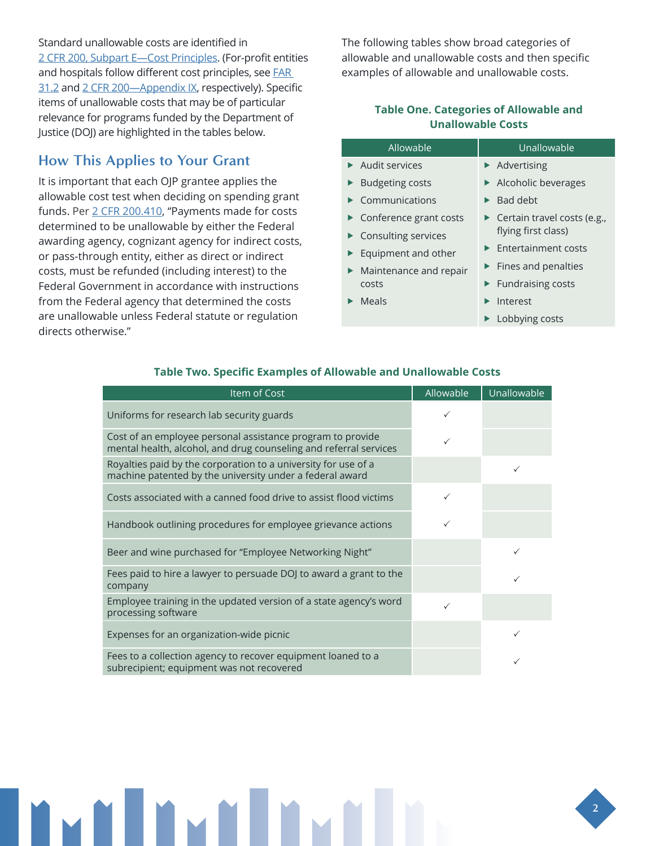### Standard unallowable costs are identified in [2 CFR 200, Subpart E—Cost Principles](https://www.ecfr.gov/cgi-bin/retrieveECFR?gp=&SID=870db2718d81511f58f280c0fdc0957d&n=pt2.1.200&r=PART&ty=HTML#sp2.1.200.e). (For-profit entities and hospitals follow different cost principles, see **FAR** [31.2](https://www.law.cornell.edu/cfr/text/48/part-31/subpart-31.2) and [2 CFR 200—Appendix IX,](https://www.ecfr.gov/cgi-bin/retrieveECFR?gp=&SID=83c04cb06810c6aeae76fa6cc769bbdb&mc=true&n=pt2.1.200&r=PART&ty=HTML#ap2.1.200_1521.ix) respectively). Specific items of unallowable costs that may be of particular relevance for programs funded by the Department of Justice (DOJ) are highlighted in the tables below.

## **How This Applies to Your Grant**

It is important that each OJP grantee applies the allowable cost test when deciding on spending grant funds. Per [2 CFR 200.410,](https://www.ecfr.gov/cgi-bin/text-idx?node=2:1.1.2.2.1.5&rgn=div6) "Payments made for costs determined to be unallowable by either the Federal awarding agency, cognizant agency for indirect costs, or pass-through entity, either as direct or indirect costs, must be refunded (including interest) to the Federal Government in accordance with instructions from the Federal agency that determined the costs are unallowable unless Federal statute or regulation directs otherwise."

The following tables show broad categories of allowable and unallowable costs and then specific examples of allowable and unallowable costs.

#### **Table One. Categories of Allowable and Unallowable Costs**

| Allowable                                    | Unallowable                                  |  |
|----------------------------------------------|----------------------------------------------|--|
| $\blacktriangleright$ Audit services         | $\blacktriangleright$ Advertising            |  |
| ▶ Budgeting costs                            | Alcoholic beverages                          |  |
| $\blacktriangleright$ Communications         | $\blacktriangleright$ Bad debt               |  |
| $\triangleright$ Conference grant costs      | $\triangleright$ Certain travel costs (e.g., |  |
| $\triangleright$ Consulting services         | flying first class)                          |  |
| $\blacktriangleright$ Equipment and other    | $\blacktriangleright$ Entertainment costs    |  |
| $\blacktriangleright$ Maintenance and repair | $\blacktriangleright$ Fines and penalties    |  |
| costs                                        | $\blacktriangleright$ Fundraising costs      |  |
| $\blacktriangleright$ Meals                  | Interest                                     |  |
|                                              | $\blacktriangleright$ Lobbying costs         |  |

| Item of Cost                                                                                                                    | Allowable | Unallowable |
|---------------------------------------------------------------------------------------------------------------------------------|-----------|-------------|
| Uniforms for research lab security guards                                                                                       | ✓         |             |
| Cost of an employee personal assistance program to provide<br>mental health, alcohol, and drug counseling and referral services | ✓         |             |
| Royalties paid by the corporation to a university for use of a<br>machine patented by the university under a federal award      |           | ✓           |
| Costs associated with a canned food drive to assist flood victims                                                               |           |             |
| Handbook outlining procedures for employee grievance actions                                                                    |           |             |
| Beer and wine purchased for "Employee Networking Night"                                                                         |           |             |
| Fees paid to hire a lawyer to persuade DOJ to award a grant to the<br>company                                                   |           |             |
| Employee training in the updated version of a state agency's word<br>processing software                                        | ✓         |             |
| Expenses for an organization-wide picnic                                                                                        |           | ✓           |
| Fees to a collection agency to recover equipment loaned to a<br>subrecipient; equipment was not recovered                       |           |             |

#### **Table Two. Specific Examples of Allowable and Unallowable Costs**